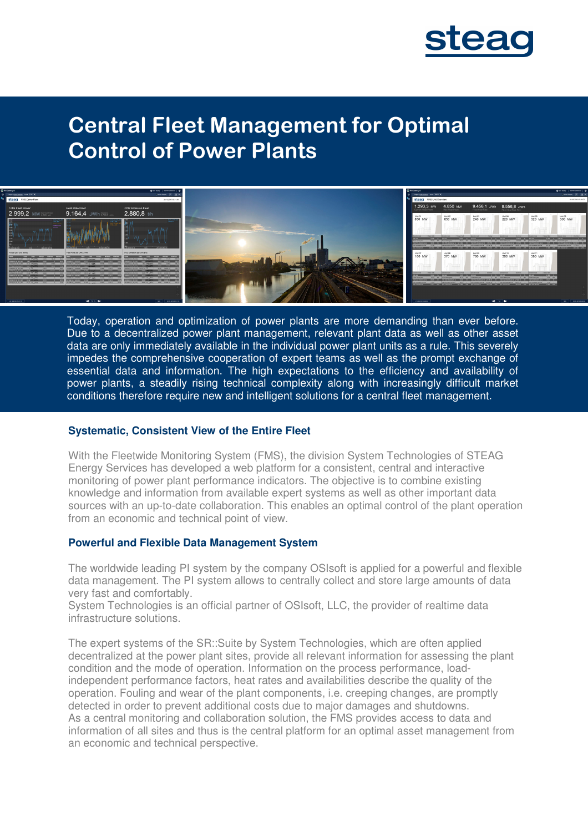

# **Central Fleet Management for Optimal Control of Power Plants**



Today, operation and optimization of power plants are more demanding than ever before. Due to a decentralized power plant management, relevant plant data as well as other asset data are only immediately available in the individual power plant units as a rule. This severely impedes the comprehensive cooperation of expert teams as well as the prompt exchange of essential data and information. The high expectations to the efficiency and availability of power plants, a steadily rising technical complexity along with increasingly difficult market conditions therefore require new and intelligent solutions for a central fleet management.

#### **Systematic, Consistent View of the Entire Fleet**

With the Fleetwide Monitoring System (FMS), the division System Technologies of STEAG Energy Services has developed a web platform for a consistent, central and interactive monitoring of power plant performance indicators. The objective is to combine existing knowledge and information from available expert systems as well as other important data sources with an up-to-date collaboration. This enables an optimal control of the plant operation from an economic and technical point of view.

#### **Powerful and Flexible Data Management System**

The worldwide leading PI system by the company OSIsoft is applied for a powerful and flexible data management. The PI system allows to centrally collect and store large amounts of data very fast and comfortably.

System Technologies is an official partner of OSIsoft, LLC, the provider of realtime data infrastructure solutions.

The expert systems of the SR::Suite by System Technologies, which are often applied decentralized at the power plant sites, provide all relevant information for assessing the plant condition and the mode of operation. Information on the process performance, loadindependent performance factors, heat rates and availabilities describe the quality of the operation. Fouling and wear of the plant components, i.e. creeping changes, are promptly detected in order to prevent additional costs due to major damages and shutdowns. As a central monitoring and collaboration solution, the FMS provides access to data and information of all sites and thus is the central platform for an optimal asset management from an economic and technical perspective.